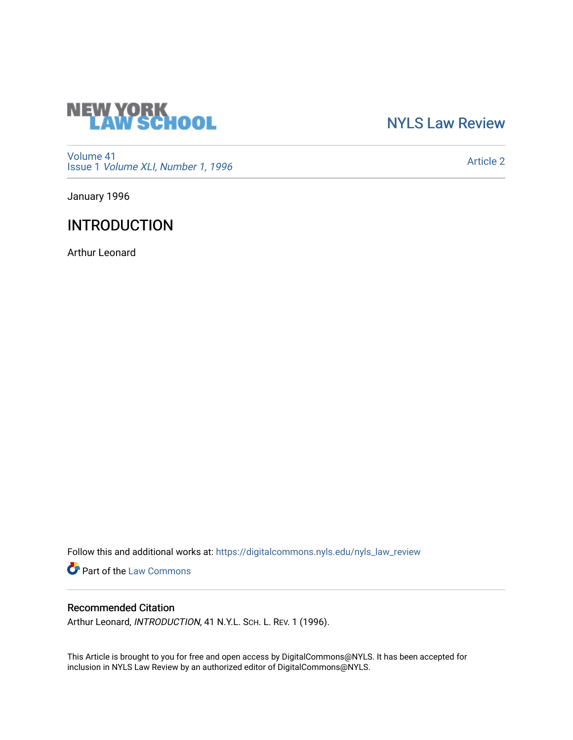

## [NYLS Law Review](https://digitalcommons.nyls.edu/nyls_law_review)

[Volume 41](https://digitalcommons.nyls.edu/nyls_law_review/vol41) Issue 1 [Volume XLI, Number 1, 1996](https://digitalcommons.nyls.edu/nyls_law_review/vol41/iss1)

[Article 2](https://digitalcommons.nyls.edu/nyls_law_review/vol41/iss1/2) 

January 1996

# INTRODUCTION

Arthur Leonard

Follow this and additional works at: [https://digitalcommons.nyls.edu/nyls\\_law\\_review](https://digitalcommons.nyls.edu/nyls_law_review?utm_source=digitalcommons.nyls.edu%2Fnyls_law_review%2Fvol41%2Fiss1%2F2&utm_medium=PDF&utm_campaign=PDFCoverPages) 

Part of the [Law Commons](https://network.bepress.com/hgg/discipline/578?utm_source=digitalcommons.nyls.edu%2Fnyls_law_review%2Fvol41%2Fiss1%2F2&utm_medium=PDF&utm_campaign=PDFCoverPages)

### Recommended Citation

Arthur Leonard, INTRODUCTION, 41 N.Y.L. SCH. L. REV. 1 (1996).

This Article is brought to you for free and open access by DigitalCommons@NYLS. It has been accepted for inclusion in NYLS Law Review by an authorized editor of DigitalCommons@NYLS.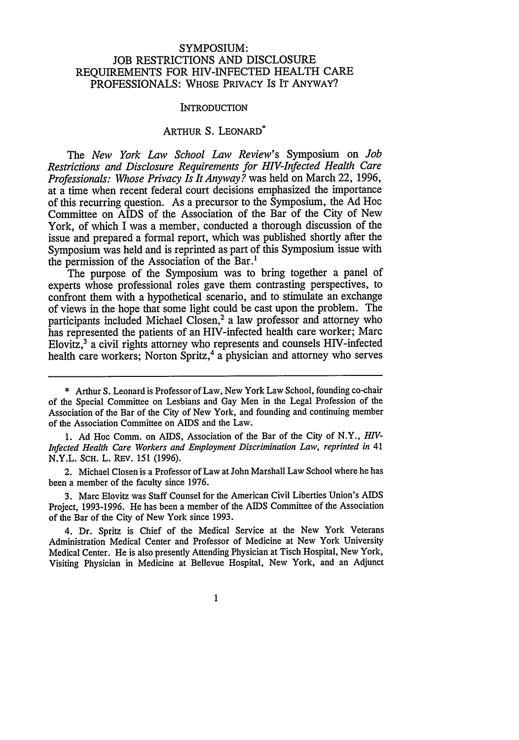### SYMPOSIUM: **JOB** RESTRICTIONS **AND DISCLOSURE REQUIREMENTS** FOR HIV-INFECTED HEALTH CARE **PROFESSIONALS:** WHOSE PRIVACY IS IT ANYWAY?

#### **INTRODUCTION**

### ARTHUR S. LEONARD'

The *New York Law School Law Review's* Symposium on *Job Restrictions and Disclosure Requirements for HIV-Infected Health Care Professionals: Whose Privacy Is It Anyway?* was held on March 22, **1996,** at a time when recent federal court decisions emphasized the importance of this recurring question. As a precursor to the Symposium, the **Ad** Hoc Committee on AIDS of the Association of the Bar of the City of New York, of which I was a member, conducted a thorough discussion of the issue and prepared a formal report, which was published shortly after the Symposium was held and is reprinted as part of this Symposium issue with the permission of the Association of the Bar.'

The purpose of the Symposium was to bring together a panel of experts whose professional roles gave them contrasting perspectives, to confront them with a hypothetical scenario, and to stimulate an exchange of views in the hope that some light could be cast upon the problem. The participants included Michael Closen,<sup>2</sup> a law professor and attorney who has represented the patients of an HIV-infected health care worker; Marc Elovitz,3 a civil rights attorney who represents and counsels HIV-infected health care workers; Norton Spritz,<sup>4</sup> a physician and attorney who serves

**1. Ad** Hoc Comm. on AIDS, Association of the Bar of the City of N.Y., *HV-Infected Health Care Workers and Employment Discrimination Law, reprinted in 41* N.Y.L. ScH. L. REV. **151 (1996).**

2. Michael Closen is a Professor of Law at John Marshall Law School where he has been a member of the faculty since **1976.**

**3.** Marc Elovitz was Staff Counsel for the American Civil Liberties Union's **AIDS** Project, **1993-1996.** He has been a member of the AIDS Committee of the Association of the Bar of the City of New York since **1993.**

4. Dr. Spritz is Chief of the Medical Service at the New York Veterans Administration Medical Center and Professor of Medicine at New York University Medical Center. He is also presently Attending Physician at Tisch Hospital, New York, Visiting Physician in Medicine at Bellevue Hospital, New York, and an Adjunct

**<sup>\*</sup>** Arthur **S.** Leonard is Professor of Law, New York Law School, founding co-chair of the Special Committee on Lesbians and Gay Men in the Legal Profession of the Association of the Bar of the City of **New** York, and founding and continuing member of the Association Committee on **AIDS** and the Law.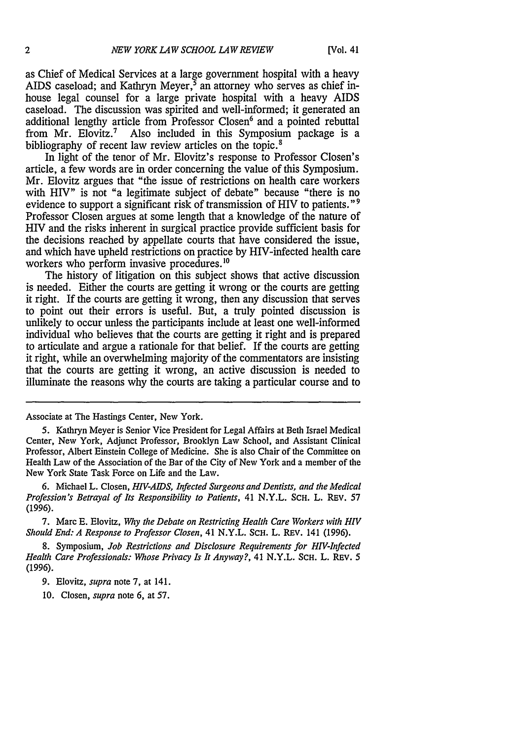as Chief of Medical Services at a large government hospital with a heavy AIDS caseload; and Kathryn Meyer, $\frac{5}{3}$  an attorney who serves as chief inhouse legal counsel for a large private hospital with a heavy AIDS caseload. The discussion was spirited and well-informed; it generated an additional lengthy article from Professor Closen<sup>6</sup> and a pointed rebuttal from Mr. Elovitz.7 Also included in this Symposium package is a bibliography of recent law review articles on the topic.<sup>8</sup>

In light of the tenor of Mr. Elovitz's response to Professor Closen's article, a few words are in order concerning the value of this Symposium. Mr. Elovitz argues that "the issue of restrictions on health care workers with HIV" is not "a legitimate subject of debate" because "there is no evidence to support a significant risk of transmission of HIV to patients."<sup>9</sup> Professor Closen argues at some length that a knowledge of the nature of HIV and the risks inherent in surgical practice provide sufficient basis for the decisions reached by appellate courts that have considered the issue, and which have upheld restrictions on practice by HIV-infected health care workers who perform invasive procedures.<sup>10</sup>

The history of litigation on this subject shows that active discussion is needed. Either the courts are getting it wrong or the courts are getting it right. If the courts are getting it wrong, then any discussion that serves to point out their errors is useful. But, a truly pointed discussion is unlikely to occur unless the participants include at least one well-informed individual who believes that the courts are getting it right and is prepared to articulate and argue a rationale for that belief. If the courts are getting it right, while an overwhelming majority of the commentators are insisting that the courts are getting it wrong, an active discussion is needed to illuminate the reasons why the courts are taking a particular course and to

Associate at The Hastings Center, New York.

<sup>5.</sup> Kathryn Meyer is Senior Vice President for Legal Affairs at Beth Israel Medical Center, New York, Adjunct Professor, Brooklyn Law School, and Assistant Clinical Professor, Albert Einstein College of Medicine. She is also Chair of the Committee on Health Law of the Association of the Bar of the City of New York and a member of the New York State Task Force on Life and the Law.

<sup>6.</sup> Michael L. Closen, *HIV-AIDS, Infected Surgeons and Dentists, and the Medical Profession's Betrayal of Its Responsibility to Patients,* 41 N.Y.L. **SCH.** L. REV. 57 (1996).

<sup>7.</sup> Marc E. Elovitz, *Why the Debate on Restricting Health Care Workers with HIV Should End: A Response to Professor Closen,* 41 N.Y.L. ScH. L. REV. 141 (1996).

<sup>8.</sup> Symposium, *Job Restrictions and Disclosure Requirements for HIV-Infected Health Care Professionals: Whose Privacy Is It Anyway?,* 41 N.Y.L. **SCH.** L. REv. 5 (1996).

<sup>9.</sup> Elovitz, *supra* note 7, at 141.

<sup>10.</sup> Closen, *supra* note 6, at 57.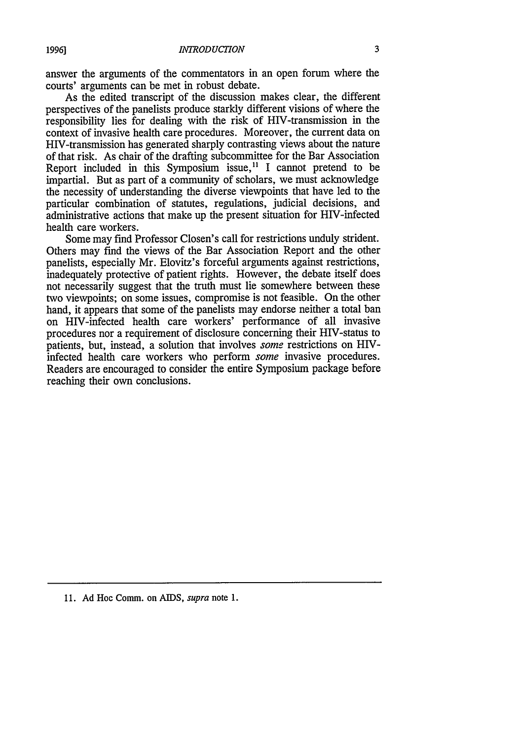answer the arguments of the commentators in an open forum where the courts' arguments can be met in robust debate.

As the edited transcript of the discussion makes clear, the different perspectives of the panelists produce starkly different visions of where the responsibility lies for dealing with the risk of HIV-transmission in the context of invasive health care procedures. Moreover, the current data on HIV-transmission has generated sharply contrasting views about the nature of that risk. As chair of the drafting subcommittee for the Bar Association Report included in this Symposium issue,<sup>11</sup> I cannot pretend to be impartial. But as part of a community of scholars, we must acknowledge the necessity of understanding the diverse viewpoints that have led to the particular combination of statutes, regulations, judicial decisions, and administrative actions that make up the present situation for HIV-infected health care workers.

Some may find Professor Closen's call for restrictions unduly strident. Others may find the views of the Bar Association Report and the other panelists, especially Mr. Elovitz's forceful arguments against restrictions, inadequately protective of patient rights. However, the debate itself does not necessarily suggest that the truth must lie somewhere between these two viewpoints; on some issues, compromise is not feasible. On the other hand, it appears that some of the panelists may endorse neither a total ban on HIV-infected health care workers' performance of all invasive procedures nor a requirement of disclosure concerning their HIV-status to patients, but, instead, a solution that involves *some* restrictions on HIVinfected health care workers who perform *some* invasive procedures. Readers are encouraged to consider the entire Symposium package before reaching their own conclusions.

**11.** Ad Hoc Comm. on AIDS, *supra* note **1.**